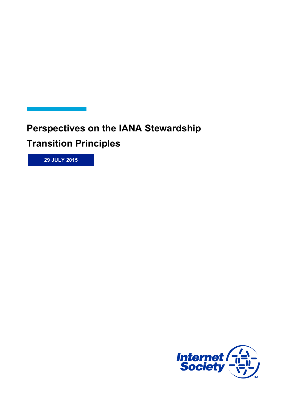**Perspectives on the IANA Stewardship**

**Transition Principles**

**29 JULY 2015**

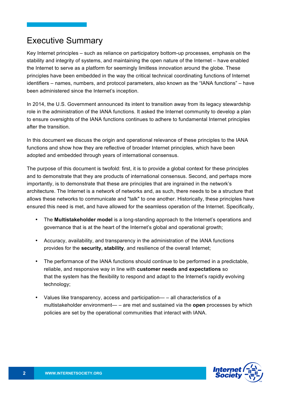### Executive Summary

Key Internet principles – such as reliance on participatory bottom-up processes, emphasis on the stability and integrity of systems, and maintaining the open nature of the Internet – have enabled the Internet to serve as a platform for seemingly limitless innovation around the globe. These principles have been embedded in the way the critical technical coordinating functions of Internet identifiers – names, numbers, and protocol parameters, also known as the "IANA functions" – have been administered since the Internet's inception.

In 2014, the U.S. Government announced its intent to transition away from its legacy stewardship role in the administration of the IANA functions. It asked the Internet community to develop a plan to ensure oversights of the IANA functions continues to adhere to fundamental Internet principles after the transition.

In this document we discuss the origin and operational relevance of these principles to the IANA functions and show how they are reflective of broader Internet principles, which have been adopted and embedded through years of international consensus.

The purpose of this document is twofold: first, it is to provide a global context for these principles and to demonstrate that they are products of international consensus. Second, and perhaps more importantly, is to demonstrate that these are principles that are ingrained in the network's architecture. The Internet is a network of networks and, as such, there needs to be a structure that allows these networks to communicate and "talk" to one another. Historically, these principles have ensured this need is met, and have allowed for the seamless operation of the Internet. Specifically,

- The **Multistakeholder model** is a long-standing approach to the Internet's operations and governance that is at the heart of the Internet's global and operational growth;
- Accuracy, availability, and transparency in the administration of the IANA functions provides for the **security, stability**, and resilience of the overall Internet;
- The performance of the IANA functions should continue to be performed in a predictable, reliable, and responsive way in line with **customer needs and expectations** so that the system has the flexibility to respond and adapt to the Internet's rapidly evolving technology;
- Values like transparency, access and participation— all characteristics of a multistakeholder environment— – are met and sustained via the **open** processes by which policies are set by the operational communities that interact with IANA.

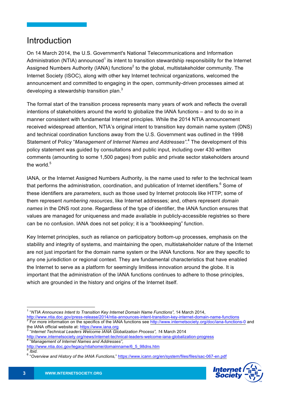## Introduction

On 14 March 2014, the U.S. Government's National Telecommunications and Information Administration (NTIA) announced<sup>1</sup> its intent to transition stewardship responsibility for the Internet Assigned Numbers Authority (IANA) functions<sup>2</sup> to the global, multistakeholder community. The Internet Society (ISOC), along with other key Internet technical organizations, welcomed the announcement and committed to engaging in the open, community-driven processes aimed at developing a stewardship transition plan.<sup>3</sup>

The formal start of the transition process represents many years of work and reflects the overall intentions of stakeholders around the world to globalize the IANA functions – and to do so in a manner consistent with fundamental Internet principles. While the 2014 NTIA announcement received widespread attention, NTIA's original intent to transition key domain name system (DNS) and technical coordination functions away from the U.S. Government was outlined in the 1998 Statement of Policy "*Management of Internet Names and Addresses"*. <sup>4</sup> The development of this policy statement was guided by consultations and public input, including over 430 written comments (amounting to some 1,500 pages) from public and private sector stakeholders around the world  $5$ 

IANA, or the Internet Assigned Numbers Authority, is the name used to refer to the technical team that performs the administration, coordination, and publication of Internet identifiers. $6$  Some of these identifiers are *parameters*, such as those used by Internet protocols like HTTP; some of them represent *numbering resources*, like Internet addresses; and, others represent *domain names* in the DNS root zone. Regardless of the type of identifier, the IANA function ensures that values are managed for uniqueness and made available in publicly-accessible registries so there can be no confusion. IANA does not set policy; it is a "bookkeeping" function.

Key Internet principles, such as reliance on participatory bottom-up processes, emphasis on the stability and integrity of systems, and maintaining the open, multistakeholder nature of the Internet are not just important for the domain name system or the IANA functions. Nor are they specific to any one jurisdiction or regional context. They are fundamental characteristics that have enabled the Internet to serve as a platform for seemingly limitless innovation around the globe. It is important that the administration of the IANA functions continues to adhere to those principles, which are grounded in the history and origins of the Internet itself.

<sup>5</sup> *Ibid.* <sup>6</sup> "*Overview and History of the IANA Functions,*" https://www.icann.org/en/system/files/files/sac-067-en.pdf



 <sup>1</sup> "*NTIA Announces Intent to Transition Key Internet Domain Name Functions",* <sup>14</sup> March 2014,

http://www.ntia.doc.gov/press-release/2014/ntia-announces-intent-transition-key-internet-domain-name-functions<br><sup>2</sup> For more information on the specifics of the IANA functions see http://www.internetsociety.org/doc/iana-fun the IANA official website at: https://www.iana.org <sup>3</sup> "*Internet Technical Leaders Welcome IANA Globalization Process", <sup>1</sup>*<sup>4</sup> March <sup>2014</sup>

http://www.internetsociety.org/news/internet-technical-leaders-welcome-iana-globalization-progress <sup>4</sup> "*Management of Internet Names and Addresses"*,

http://www.ntia.doc.gov/legacy/ntiahome/domainname/6\_5\_98dns.htm<br>
bid.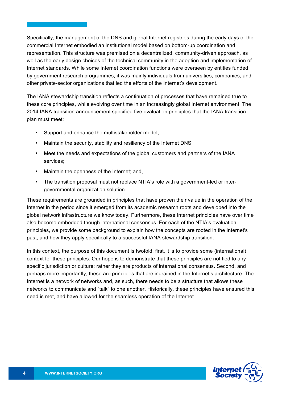Specifically, the management of the DNS and global Internet registries during the early days of the commercial Internet embodied an institutional model based on bottom-up coordination and representation. This structure was premised on a decentralized, community-driven approach, as well as the early design choices of the technical community in the adoption and implementation of Internet standards. While some Internet coordination functions were overseen by entities funded by government research programmes, it was mainly individuals from universities, companies, and other private-sector organizations that led the efforts of the Internet's development.

The IANA stewardship transition reflects a continuation of processes that have remained true to these core principles, while evolving over time in an increasingly global Internet environment. The 2014 IANA transition announcement specified five evaluation principles that the IANA transition plan must meet:

- Support and enhance the multistakeholder model;
- Maintain the security, stability and resiliency of the Internet DNS;
- Meet the needs and expectations of the global customers and partners of the IANA services;
- Maintain the openness of the Internet; and,
- The transition proposal must not replace NTIA's role with a government-led or intergovernmental organization solution.

These requirements are grounded in principles that have proven their value in the operation of the Internet in the period since it emerged from its academic research roots and developed into the global network infrastructure we know today. Furthermore, these Internet principles have over time also become embedded though international consensus. For each of the NTIA's evaluation principles, we provide some background to explain how the concepts are rooted in the Internet's past, and how they apply specifically to a successful IANA stewardship transition.

In this context, the purpose of this document is twofold: first, it is to provide some (international) context for these principles. Our hope is to demonstrate that these principles are not tied to any specific jurisdiction or culture; rather they are products of international consensus. Second, and perhaps more importantly, these are principles that are ingrained in the Internet's architecture. The Internet is a network of networks and, as such, there needs to be a structure that allows these networks to communicate and "talk" to one another. Historically, these principles have ensured this need is met, and have allowed for the seamless operation of the Internet.

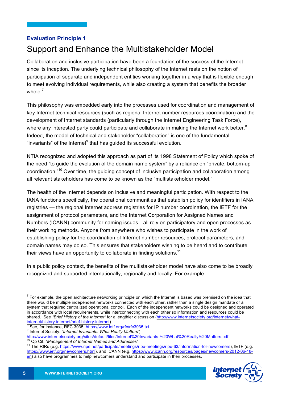## **Evaluation Principle 1** Support and Enhance the Multistakeholder Model

Collaboration and inclusive participation have been a foundation of the success of the Internet since its inception. The underlying technical philosophy of the Internet rests on the notion of participation of separate and independent entities working together in a way that is flexible enough to meet evolving individual requirements, while also creating a system that benefits the broader whole. $^7$ 

This philosophy was embedded early into the processes used for coordination and management of key Internet technical resources (such as regional Internet number resources coordination) and the development of Internet standards (particularly through the Internet Engineering Task Force), where any interested party could participate and collaborate in making the Internet work better.<sup>8</sup> Indeed, the model of technical and stakeholder "collaboration" is one of the fundamental "invariants" of the Internet<sup>9</sup> that has quided its successful evolution.

NTIA recognized and adopted this approach as part of its 1998 Statement of Policy which spoke of the need "to guide the evolution of the domain name system" by a reliance on "private, bottom-up coordination."<sup>10</sup> Over time, the guiding concept of inclusive participation and collaboration among all relevant stakeholders has come to be known as the "multistakeholder model."

The health of the Internet depends on inclusive and meaningful participation. With respect to the IANA functions specifically, the operational communities that establish policy for identifiers in IANA registries — the regional Internet address registries for IP number coordination, the IETF for the assignment of protocol parameters, and the Internet Corporation for Assigned Names and Numbers (ICANN) community for naming issues—all rely on participatory and open processes as their working methods. Anyone from anywhere who wishes to participate in the work of establishing policy for the coordination of Internet number resources, protocol parameters, and domain names may do so. This ensures that stakeholders wishing to be heard and to contribute their views have an opportunity to collaborate in finding solutions.<sup>11</sup>

In a public policy context, the benefits of the multistakeholder model have also come to be broadly recognized and supported internationally, regionally and locally. For example:

internet/history-internet/brief-history-internet) <sup>8</sup> See, for instance, RFC 3935, https://www.ietf.org/rfc/rfc3935.txt <sup>9</sup> Internet Society. *"Internet Invariants: What Really Matters",*

http://www.internetsociety.org/sites/default/files/Internet%20Invariants-%20What%20Really%20Matters.pdf<br><sup>10</sup> Op Cit, "*Management of Internet Names and Addresses"*<br><sup>11</sup> The RIRs (e.g. https://www.<u>ripe.net/participate/meet</u>

https://www.ietf.org/newcomers.html), and ICANN (e.g. https://www.icann.org/resources/pages/newcomers-2012-06-18 en) also have programmes to help newcomers understand and participate in their processes.



 $<sup>7</sup>$  For example, the open architecture networking principle on which the Internet is based was premised on the idea that</sup> there would be multiple independent networks connected with each other, rather than a single design mandate or a system that required centralized operational control. Each of the independent networks could be designed and operated in accordance with local requirements, while interconnecting with each other so information and resources could be shared. See *"Brief History of the Internet"* for a lengthier discussion (http://www.internetsociety.org/internet/what-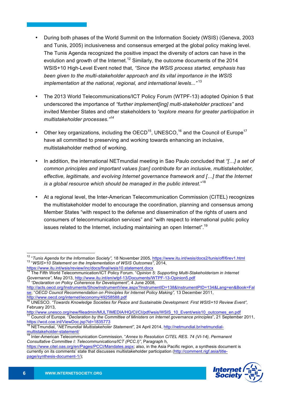- During both phases of the World Summit on the Information Society (WSIS) (Geneva, 2003 and Tunis, 2005) inclusiveness and consensus emerged at the global policy making level. The Tunis Agenda recognized the positive impact the diversity of actors can have in the evolution and growth of the Internet.<sup>12</sup> Similarly, the outcome documents of the 2014 WSIS+10 High-Level Event noted that, *"Since the WSIS process started, emphasis has been given to the multi-stakeholder approach and its vital importance in the WSIS implementation at the national, regional, and international levels..."* <sup>13</sup>
- The 2013 World Telecommunications/ICT Policy Forum (WTPF-13) adopted Opinion 5 that underscored the importance of *"further implement[ing] multi-stakeholder practices"* and invited Member States and other stakeholders to *"explore means for greater participation in multistakeholder processes."14*
- Other key organizations, including the OECD<sup>15</sup>, UNESCO,<sup>16</sup> and the Council of Europe<sup>17</sup> have all committed to preserving and working towards enhancing an inclusive, multistakeholder method of working.
- In addition, the international NETmundial meeting in Sao Paulo concluded that *"[…] a set of common principles and important values [can] contribute for an inclusive, multistakeholder, effective, legitimate, and evolving Internet governance framework and […] that the Internet is a global resource which should be managed in the public interest*."<sup>18</sup>
- At a regional level, the Inter-American Telecommunication Commission (CITEL) recognizes the multistakeholder model to encourage the coordination, planning and consensus among Member States "with respect to the defense and dissemination of the rights of users and consumers of telecommunication services" and "with respect to international public policy issues related to the Internet, including maintaining an open Internet".<sup>19</sup>

http://www.unesco.org/new/fileadmin/MULTIMEDIA/HQ/CI/CI/pdf/wsis/WSIS\_10\_Event/wsis10\_outcomes\_en.pdf<br><sup>17</sup> Council of Europe. "Declaration by the Committee of Ministers on Internet governance principles", 21 September 2011

https://www.citel.oas.org/en/Pages/PCCI/Mandates.aspx; also, in the Asia Pacific region, a synthesis document is currently on its comments' state that discusses multistakeholder participation (http://comment.rigf.asia/titlepage/synthesis-document-1/);



<sup>&</sup>lt;sup>12</sup> "Tunis Agenda for the Information Society", 18 November 2005, https://www.itu.int/wsis/docs2/tunis/off/6rev1.html<br><sup>13</sup> "WSIS+10 Statement on the Implementation of WSIS Outcomes", 2014,

https://www.itu.int/wsis/review/inc/docs/final/wsis10.statement.docx

<sup>14</sup> The Fifth World Telecommunication/ICT Policy Forum. "*Opinion 5: Supporting Multi-Stakeholderism in Internet Governance",* May 2013, http://www.itu.int/en/wtpf-13/Documents/WTPF-13-Opinion5.pdf <sup>15</sup> *"Declaration on Policy Coherence for Development",* <sup>4</sup> June 2008,

http://acts.oecd.org/Instruments/ShowInstrumentView.aspx?InstrumentID=138&InstrumentPID=134&Lang=en&Book=Fal se; "*OECD Council Recommendation on Principles for Internet Policy Making",* 13 December 2011, http://www.oecd.org/internet/ieconomy/49258588.pdf

<sup>16</sup> UNESCO. *"Towards Knowledge Societies for Peace and Sustainable Development: First WSIS+10 Review Event",* February 2013,

https://wcd.coe.int/ViewDoc.jsp?id=1835773

<sup>18</sup> NETmundial, "*NETmundial Multistakeholer Statement",* 24 April 2014, http://netmundial.br/netmundialmultistakeholder-statement/ <sup>19</sup> Inter-American Telecommunication Commission. "*Annex to Resolution CITEL RES. <sup>74</sup> (VI-14), Permanent*

*Consultative Committee I: Telecommunications/ICT (PCC.I)"*, Paragraph h,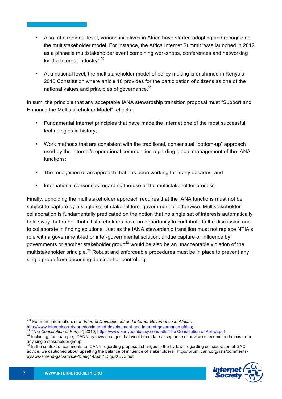- Also, at a regional level, various initiatives in Africa have started adopting and recognizing the multistakeholder model. For instance, the Africa Internet Summit "was launched in 2012 as a pinnacle multistakeholder event combining workshops, conferences and networking for the Internet industry".<sup>20</sup>
- At a national level, the multistakeholder model of policy making is enshrined in Kenya's 2010 Constitution where article 10 provides for the participation of citizens as one of the national values and principles of governance.<sup>21</sup>

In sum, the principle that any acceptable IANA stewardship transition proposal must "Support and Enhance the Multistakeholder Model" reflects:

- Fundamental Internet principles that have made the Internet one of the most successful technologies in history;
- Work methods that are consistent with the traditional, consensual "bottom-up" approach used by the Internet's operational communities regarding global management of the IANA functions;
- The recognition of an approach that has been working for many decades; and
- International consensus regarding the use of the multistakeholder process.

Finally, upholding the multistakeholder approach requires that the IANA functions must not be subject to capture by a single set of stakeholders, government or otherwise. Multistakeholder collaboration is fundamentally predicated on the notion that no single set of interests automatically hold sway, but rather that all stakeholders have an opportunity to contribute to the discussion and to collaborate in finding solutions. Just as the IANA stewardship transition must not replace NTIA's role with a government-led or inter-governmental solution, undue capture or influence by governments or another stakeholder group<sup>22</sup> would be also be an unacceptable violation of the multistakeholder principle.<sup>23</sup> Robust and enforceable procedures must be in place to prevent any single group from becoming dominant or controlling.

advice, we cautioned about upsetting the balance of influence of stakeholders. http://forum.icann.org/lists/commentsbylaws-amend-gac-advice-15aug14/pdfYE5qqrXBvS.pdf



 $\overline{a}$ 

<sup>20</sup> For more information, see *"Internet Development and Internet Governance in Africa"*,

http://www.internetsociety.org/doc/internet-development-and-internet-governance-africa;<br><sup>21</sup> "The Constitution of Kenya", 2010, https://www.kenyaembassy.com/pdfs/The Constitution of Kenya.pdf<br><sup>22</sup> Including, for example, I any single stakeholder group.<br><sup>23</sup> In the context of comments to ICANN regarding proposed changes to the by-laws regarding consideration of GAC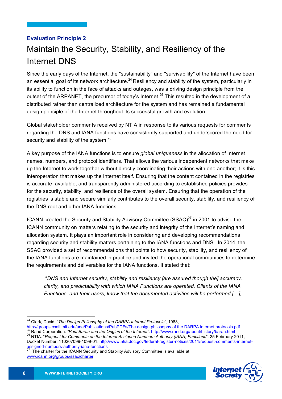# **Evaluation Principle 2** Maintain the Security, Stability, and Resiliency of the Internet DNS

Since the early days of the Internet, the "sustainability" and "survivability" of the Internet have been an essential goal of its network architecture.<sup>24</sup> Resiliency and stability of the system, particularly in its ability to function in the face of attacks and outages, was a driving design principle from the outset of the ARPANET, the precursor of today's Internet.<sup>25</sup> This resulted in the development of a distributed rather than centralized architecture for the system and has remained a fundamental design principle of the Internet throughout its successful growth and evolution.

Global stakeholder comments received by NTIA in response to its various requests for comments regarding the DNS and IANA functions have consistently supported and underscored the need for security and stability of the system.<sup>26</sup>

A key purpose of the IANA functions is to ensure *global uniqueness* in the allocation of Internet names, numbers, and protocol identifiers. That allows the various independent networks that make up the Internet to work together without directly coordinating their actions with one another; it is this interoperation that makes up the Internet itself. Ensuring that the content contained in the registries is accurate, available, and transparently administered according to established policies provides for the security, stability, and resilience of the overall system. Ensuring that the operation of the registries is stable and secure similarly contributes to the overall security, stability, and resiliency of the DNS root and other IANA functions.

ICANN created the Security and Stability Advisory Committee (SSAC) $^{27}$  in 2001 to advise the ICANN community on matters relating to the security and integrity of the Internet's naming and allocation system. It plays an important role in considering and developing recommendations regarding security and stability matters pertaining to the IANA functions and DNS. In 2014, the SSAC provided a set of recommendations that points to how security, stability, and resiliency of the IANA functions are maintained in practice and invited the operational communities to determine the requirements and deliverables for the IANA functions. It stated that:

"*DNS and Internet security, stability and resiliency [are assured though the] accuracy, clarity, and predictability with which IANA Functions are operated. Clients of the IANA Functions, and their users, know that the documented activities will be performed […],* 

Docket Number: 110207099-1099-01, http://www.ntia.doc.gov/federal-register-notices/2011/request-comments-internet-<br>assigned-numbers-authority-iana-functions



 <sup>24</sup> Clark, David. "*The Design Philosophy of the DARPA Internet Protocols",* 1988,

http://groups.csail.mit.edu/ana/Publications/PubPDFs/The design philosophy of the DARPA internet protocols.pdf<br><sup>25</sup> Rand Corporation. "Paul Baran and the Origins of the Internet", http://www.rand.org/about/history/baran.ht

The charter for the ICANN Security and Stability Advisory Committee is available at www.icann.org/groups/ssac/charter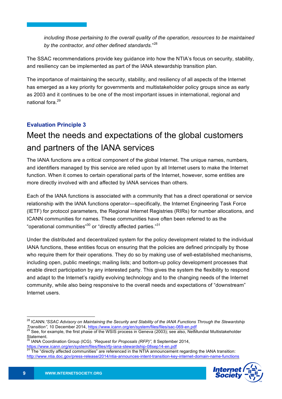*including those pertaining to the overall quality of the operation, resources to be maintained by the contractor, and other defined standards.*" 28

The SSAC recommendations provide key guidance into how the NTIA's focus on security, stability, and resiliency can be implemented as part of the IANA stewardship transition plan.

The importance of maintaining the security, stability, and resiliency of all aspects of the Internet has emerged as a key priority for governments and multistakeholder policy groups since as early as 2003 and it continues to be one of the most important issues in international, regional and national fora.<sup>29</sup>

#### **Evaluation Principle 3**

# Meet the needs and expectations of the global customers and partners of the IANA services

The IANA functions are a critical component of the global Internet. The unique names, numbers, and identifiers managed by this service are relied upon by all Internet users to make the Internet function. When it comes to certain operational parts of the Internet, however, some entities are more directly involved with and affected by IANA services than others.

Each of the IANA functions is associated with a community that has a direct operational or service relationship with the IANA functions operator—specifically, the Internet Engineering Task Force (IETF) for protocol parameters, the Regional Internet Registries (RIRs) for number allocations, and ICANN communities for names. These communities have often been referred to as the "operational communities"<sup>30</sup> or "directly affected parties."<sup>31</sup>

Under the distributed and decentralized system for the policy development related to the individual IANA functions, these entities focus on ensuring that the policies are defined principally by those who require them for their operations. They do so by making use of well-established mechanisms, including open, public meetings; mailing lists; and bottom-up policy development processes that enable direct participation by any interested party. This gives the system the flexibility to respond and adapt to the Internet's rapidly evolving technology and to the changing needs of the Internet community, while also being responsive to the overall needs and expectations of "downstream" Internet users.

The "directly affected communities" are referenced in the NTIA announcement regarding the IANA transition: http://www.ntia.doc.gov/press-release/2014/ntia-announces-intent-transition-key-internet-domain-name-functions



 <sup>28</sup> ICANN.*"SSAC Advisory on Maintaining the Security and Stability of the IANA Functions Through the Stewardship Transition",* 10 December 2014, https://www.icann.org/en/system/files/files/sac-069-en.pdf<br><sup>29</sup> See, for example, the first phase of the WSIS process in Geneva (2003); see also, NetMundial Multistakeholder

Statement.

<sup>30</sup> IANA Coordination Group (ICG). *"Request for Proposals (RFP)",* 8 September 2014,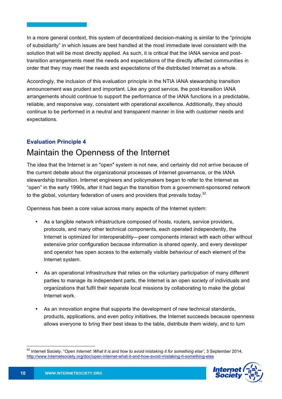In a more general context, this system of decentralized decision-making is similar to the "principle of subsidiarity" in which issues are best handled at the most immediate level consistent with the solution that will be most directly applied. As such, it is critical that the IANA service and posttransition arrangements meet the needs and expectations of the directly affected communities in order that they may meet the needs and expectations of the distributed Internet as a whole.

Accordingly, the inclusion of this evaluation principle in the NTIA IANA stewardship transition announcement was prudent and important. Like any good service, the post-transition IANA arrangements should continue to support the performance of the IANA functions in a predictable, reliable, and responsive way, consistent with operational excellence. Additionally, they should continue to be performed in a neutral and transparent manner in line with customer needs and expectations.

#### **Evaluation Principle 4**

## Maintain the Openness of the Internet

The idea that the Internet is an "open" system is not new, and certainly did not arrive because of the current debate about the organizational processes of Internet governance, or the IANA stewardship transition. Internet engineers and policymakers began to refer to the Internet as "open" in the early 1990s, after it had begun the transition from a government-sponsored network to the global, voluntary federation of users and providers that prevails today.<sup>32</sup>

Openness has been a core value across many aspects of the Internet system:

- As a tangible network infrastructure composed of hosts, routers, service providers, protocols, and many other technical components, each operated independently, the Internet is optimized for interoperability—peer components interact with each other without extensive prior configuration because information is shared openly, and every developer and operator has open access to the externally visible behaviour of each element of the Internet system.
- As an operational infrastructure that relies on the voluntary participation of many different parties to manage its independent parts, the Internet is an open society of individuals and organizations that fulfil their separate local missions by collaborating to make the global Internet work.
- As an innovation engine that supports the development of new technical standards, products, applications, and even policy initiatives, the Internet succeeds because openness allows everyone to bring their best ideas to the table, distribute them widely, and to turn

 <sup>32</sup> Internet Society. "*Open Internet: What it is and how to avoid mistaking it for something else"*, <sup>3</sup> September 2014, http://www.internetsociety.org/doc/open-internet-what-it-and-how-avoid-mistaking-it-something-else

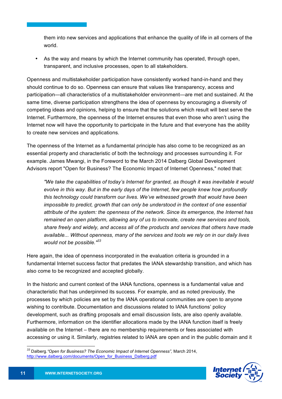them into new services and applications that enhance the quality of life in all corners of the world.

• As the way and means by which the Internet community has operated, through open, transparent, and inclusive processes, open to all stakeholders.

Openness and multistakeholder participation have consistently worked hand-in-hand and they should continue to do so. Openness can ensure that values like transparency, access and participation—all characteristics of a multistakeholder environment—are met and sustained. At the same time, diverse participation strengthens the idea of openness by encouraging a diversity of competing ideas and opinions, helping to ensure that the solutions which result will best serve the Internet. Furthermore, the openness of the Internet ensures that even those who aren't using the Internet now will have the opportunity to participate in the future and that everyone has the ability to create new services and applications.

The openness of the Internet as a fundamental principle has also come to be recognized as an essential property and characteristic of both the technology and processes surrounding it. For example. James Mwangi, in the Foreword to the March 2014 Dalberg Global Development Advisors report "Open for Business? The Economic Impact of Internet Openness," noted that:

*"We take the capabilities of today's Internet for granted, as though it was inevitable it would evolve in this way. But in the early days of the Internet, few people knew how profoundly this technology could transform our lives. We've witnessed growth that would have been impossible to predict, growth that can only be understood in the context of one essential attribute of the system: the openness of the network. Since its emergence, the Internet has remained an open platform, allowing any of us to innovate, create new services and tools, share freely and widely, and access all of the products and services that others have made available... Without openness, many of the services and tools we rely on in our daily lives would not be possible."<sup>33</sup>*

Here again, the idea of openness incorporated in the evaluation criteria is grounded in a fundamental Internet success factor that predates the IANA stewardship transition, and which has also come to be recognized and accepted globally.

In the historic and current context of the IANA functions, openness is a fundamental value and characteristic that has underpinned its success. For example, and as noted previously, the processes by which policies are set by the IANA operational communities are open to anyone wishing to contribute. Documentation and discussions related to IANA functions' policy development, such as drafting proposals and email discussion lists, are also openly available. Furthermore, information on the identifier allocations made by the IANA function itself is freely available on the Internet – there are no membership requirements or fees associated with accessing or using it. Similarly, registries related to IANA are open and in the public domain and it

*<sup>33</sup>* Dalberg.*"Open for Business? The Economic Impact of Internet Openness",* March 2014, http://www.dalberg.com/documents/Open\_for\_Business\_Dalberg.pdf

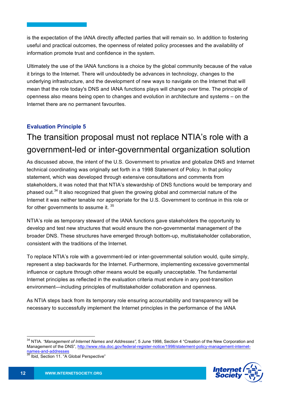is the expectation of the IANA directly affected parties that will remain so. In addition to fostering useful and practical outcomes, the openness of related policy processes and the availability of information promote trust and confidence in the system.

Ultimately the use of the IANA functions is a choice by the global community because of the value it brings to the Internet. There will undoubtedly be advances in technology, changes to the underlying infrastructure, and the development of new ways to navigate on the Internet that will mean that the role today's DNS and IANA functions plays will change over time. The principle of openness also means being open to changes and evolution in architecture and systems – on the Internet there are no permanent favourites.

#### **Evaluation Principle 5**

# The transition proposal must not replace NTIA's role with a government-led or inter-governmental organization solution

As discussed above, the intent of the U.S. Government to privatize and globalize DNS and Internet technical coordinating was originally set forth in a 1998 Statement of Policy. In that policy statement, which was developed through extensive consultations and comments from stakeholders, it was noted that that NTIA's stewardship of DNS functions would be temporary and phased out.<sup>34</sup> It also recognized that given the growing global and commercial nature of the Internet it was neither tenable nor appropriate for the U.S. Government to continue in this role or for other governments to assume it. 35

NTIA's role as temporary steward of the IANA functions gave stakeholders the opportunity to develop and test new structures that would ensure the non-governmental management of the broader DNS. These structures have emerged through bottom-up, multistakeholder collaboration, consistent with the traditions of the Internet.

To replace NTIA's role with a government-led or inter-governmental solution would, quite simply, represent a step backwards for the Internet. Furthermore, implementing excessive governmental influence or capture through other means would be equally unacceptable. The fundamental Internet principles as reflected in the evaluation criteria must endure in any post-transition environment—including principles of multistakeholder collaboration and openness.

As NTIA steps back from its temporary role ensuring accountability and transparency will be necessary to successfully implement the Internet principles in the performance of the IANA



 <sup>34</sup> NTIA*. "Management of Internet Names and Addresses",* <sup>5</sup> June 1998, Section <sup>4</sup> "Creation of the New Corporation and Management of the DNS", http://www.ntia.doc.gov/federal-register-notice/1998/statement-policy-management-internetnames-and-addresses<br>
<sup>35</sup> Ibid, Section 11. "A Global Perspective"